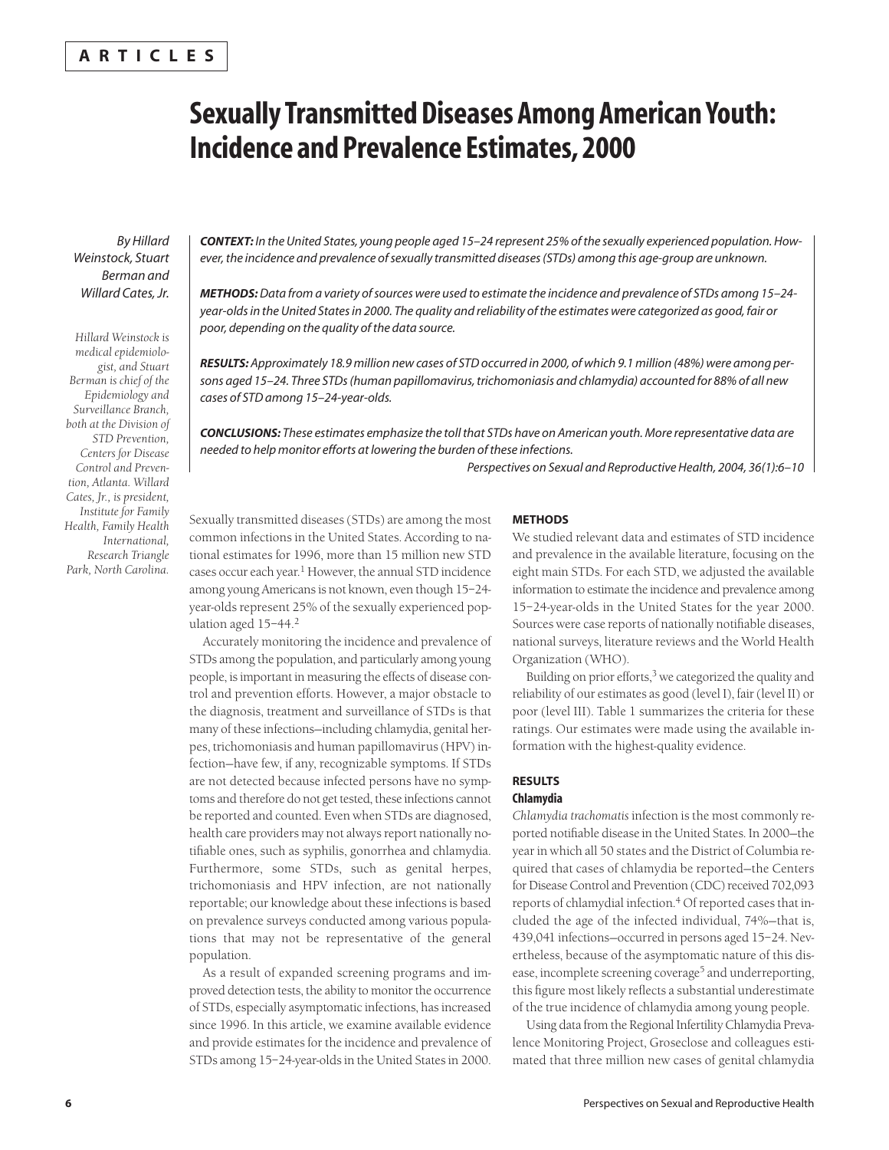## **ARTICLES**

# **Sexually Transmitted Diseases Among American Youth: Incidence and Prevalence Estimates, 2000**

*By Hillard Weinstock, Stuart Berman and Willard Cates, Jr.*

*Hillard Weinstock is medical epidemiologist, and Stuart Berman is chief of the Epidemiology and Surveillance Branch, both at the Division of STD Prevention, Centers for Disease Control and Prevention, Atlanta. Willard Cates, Jr., is president, Institute for Family Health, Family Health International, Research Triangle Park, North Carolina.* *CONTEXT: In the United States, young people aged 15–24 represent 25% of the sexually experienced population. However, the incidence and prevalence of sexually transmitted diseases (STDs) among this age-group are unknown.* 

*METHODS:Data from a variety of sources were used to estimate the incidence and prevalence of STDs among 15–24 year-olds in the United States in 2000. The quality and reliability of the estimates were categorized as good, fair or poor, depending on the quality of the data source.*

*RESULTS: Approximately 18.9 million new cases of STD occurred in 2000, of which 9.1 million (48%) were among persons aged 15–24. Three STDs (human papillomavirus, trichomoniasis and chlamydia) accounted for 88% of all new cases of STD among 15–24-year-olds.*

*CONCLUSIONS: These estimates emphasize the toll that STDs have on American youth. More representative data are needed to help monitor efforts at lowering the burden of these infections.*

*Perspectives on Sexual and Reproductive Health, 2004, 36(1):6–10*

Sexually transmitted diseases (STDs) are among the most common infections in the United States. According to national estimates for 1996, more than 15 million new STD cases occur each year.1 However, the annual STD incidence among young Americans is not known, even though 15–24 year-olds represent 25% of the sexually experienced population aged 15-44.<sup>2</sup>

Accurately monitoring the incidence and prevalence of STDs among the population, and particularly among young people, is important in measuring the effects of disease control and prevention efforts. However, a major obstacle to the diagnosis, treatment and surveillance of STDs is that many of these infections—including chlamydia, genital herpes, trichomoniasis and human papillomavirus (HPV) infection—have few, if any, recognizable symptoms. If STDs are not detected because infected persons have no symptoms and therefore do not get tested, these infections cannot be reported and counted. Even when STDs are diagnosed, health care providers may not always report nationally notifiable ones, such as syphilis, gonorrhea and chlamydia. Furthermore, some STDs, such as genital herpes, trichomoniasis and HPV infection, are not nationally reportable; our knowledge about these infections is based on prevalence surveys conducted among various populations that may not be representative of the general population.

As a result of expanded screening programs and improved detection tests, the ability to monitor the occurrence of STDs, especially asymptomatic infections, has increased since 1996. In this article, we examine available evidence and provide estimates for the incidence and prevalence of STDs among 15–24-year-olds in the United States in 2000.

## **METHODS**

We studied relevant data and estimates of STD incidence and prevalence in the available literature, focusing on the eight main STDs. For each STD, we adjusted the available information to estimate the incidence and prevalence among 15–24-year-olds in the United States for the year 2000. Sources were case reports of nationally notifiable diseases, national surveys, literature reviews and the World Health Organization (WHO).

Building on prior efforts, $3$  we categorized the quality and reliability of our estimates as good (level I), fair (level II) or poor (level III). Table 1 summarizes the criteria for these ratings. Our estimates were made using the available information with the highest-quality evidence.

### **RESULTS Chlamydia**

*Chlamydia trachomatis* infection is the most commonly reported notifiable disease in the United States. In 2000—the year in which all 50 states and the District of Columbia required that cases of chlamydia be reported—the Centers for Disease Control and Prevention (CDC) received 702,093 reports of chlamydial infection.<sup>4</sup> Of reported cases that included the age of the infected individual, 74%—that is, 439,041 infections—occurred in persons aged 15–24. Nevertheless, because of the asymptomatic nature of this disease, incomplete screening coverage<sup>5</sup> and underreporting, this figure most likely reflects a substantial underestimate of the true incidence of chlamydia among young people.

Using data from the Regional Infertility Chlamydia Prevalence Monitoring Project, Groseclose and colleagues estimated that three million new cases of genital chlamydia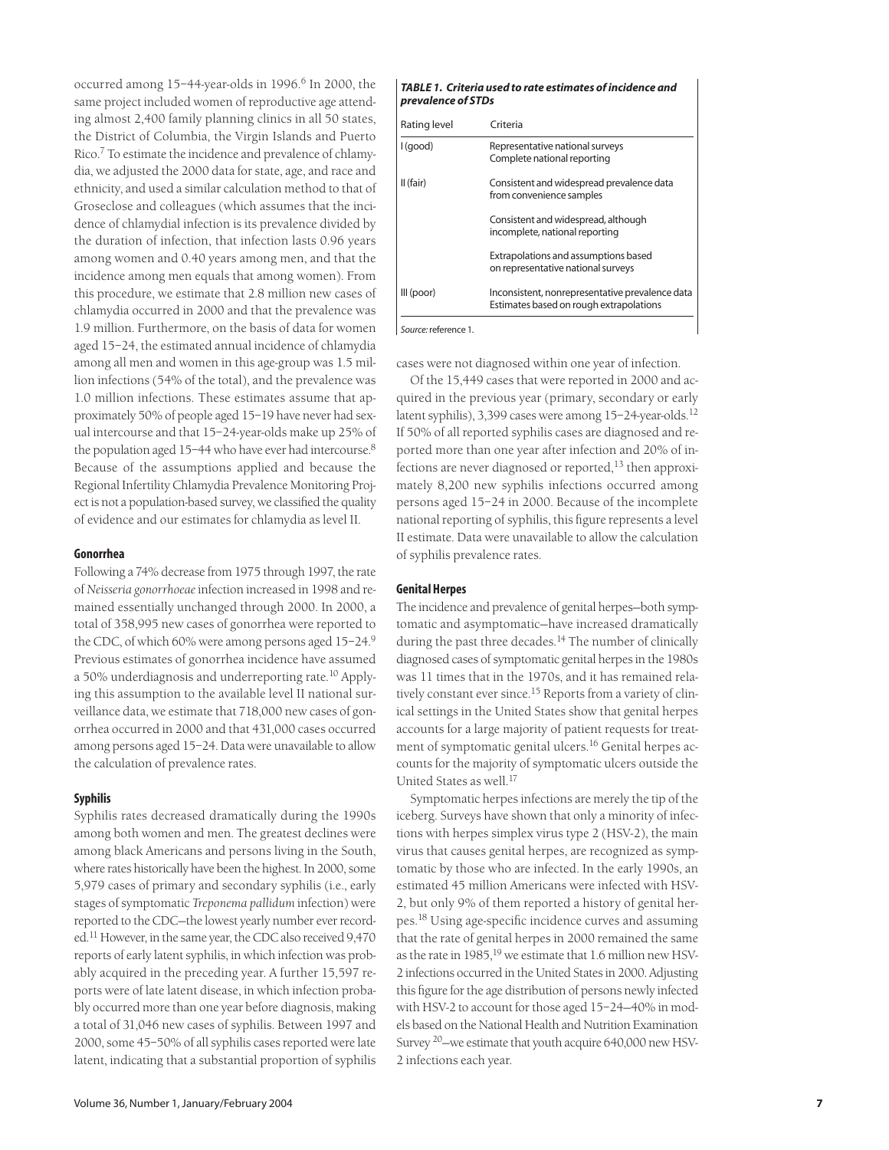occurred among 15-44-year-olds in 1996.<sup>6</sup> In 2000, the same project included women of reproductive age attending almost 2,400 family planning clinics in all 50 states, the District of Columbia, the Virgin Islands and Puerto Rico.7 To estimate the incidence and prevalence of chlamydia, we adjusted the 2000 data for state, age, and race and ethnicity, and used a similar calculation method to that of Groseclose and colleagues (which assumes that the incidence of chlamydial infection is its prevalence divided by the duration of infection, that infection lasts 0.96 years among women and 0.40 years among men, and that the incidence among men equals that among women). From this procedure, we estimate that 2.8 million new cases of chlamydia occurred in 2000 and that the prevalence was 1.9 million. Furthermore, on the basis of data for women aged 15–24, the estimated annual incidence of chlamydia among all men and women in this age-group was 1.5 million infections (54% of the total), and the prevalence was 1.0 million infections. These estimates assume that approximately 50% of people aged 15–19 have never had sexual intercourse and that 15–24-year-olds make up 25% of the population aged 15-44 who have ever had intercourse.<sup>8</sup> Because of the assumptions applied and because the Regional Infertility Chlamydia Prevalence Monitoring Project is not a population-based survey, we classified the quality of evidence and our estimates for chlamydia as level II.

#### **Gonorrhea**

Following a 74% decrease from 1975 through 1997, the rate of *Neisseria gonorrhoeae*infection increased in 1998 and remained essentially unchanged through 2000. In 2000, a total of 358,995 new cases of gonorrhea were reported to the CDC, of which 60% were among persons aged 15–24.9 Previous estimates of gonorrhea incidence have assumed a 50% underdiagnosis and underreporting rate.<sup>10</sup> Applying this assumption to the available level II national surveillance data, we estimate that 718,000 new cases of gonorrhea occurred in 2000 and that 431,000 cases occurred among persons aged 15–24. Data were unavailable to allow the calculation of prevalence rates.

#### **Syphilis**

Syphilis rates decreased dramatically during the 1990s among both women and men. The greatest declines were among black Americans and persons living in the South, where rates historically have been the highest. In 2000, some 5,979 cases of primary and secondary syphilis (i.e., early stages of symptomatic *Treponema pallidum* infection) were reported to the CDC—the lowest yearly number ever recorded.11 However, in the same year, the CDC also received 9,470 reports of early latent syphilis, in which infection was probably acquired in the preceding year. A further 15,597 reports were of late latent disease, in which infection probably occurred more than one year before diagnosis, making a total of 31,046 new cases of syphilis. Between 1997 and 2000, some 45–50% of all syphilis cases reported were late latent, indicating that a substantial proportion of syphilis

#### *TABLE 1. Criteria used to rate estimates of incidence and prevalence of STDs*

| Rating level | Criteria                                                                                   |
|--------------|--------------------------------------------------------------------------------------------|
| l (good)     | Representative national surveys<br>Complete national reporting                             |
| II (fair)    | Consistent and widespread prevalence data<br>from convenience samples                      |
|              | Consistent and widespread, although<br>incomplete, national reporting                      |
|              | Extrapolations and assumptions based<br>on representative national surveys                 |
| III (poor)   | Inconsistent, nonrepresentative prevalence data<br>Estimates based on rough extrapolations |
|              |                                                                                            |

*Source:*reference 1.

cases were not diagnosed within one year of infection.

Of the 15,449 cases that were reported in 2000 and acquired in the previous year (primary, secondary or early latent syphilis), 3,399 cases were among 15-24-year-olds.<sup>12</sup> If 50% of all reported syphilis cases are diagnosed and reported more than one year after infection and 20% of infections are never diagnosed or reported, $^{13}$  then approximately 8,200 new syphilis infections occurred among persons aged 15–24 in 2000. Because of the incomplete national reporting of syphilis, this figure represents a level II estimate. Data were unavailable to allow the calculation of syphilis prevalence rates.

#### **Genital Herpes**

The incidence and prevalence of genital herpes—both symptomatic and asymptomatic—have increased dramatically during the past three decades.<sup>14</sup> The number of clinically diagnosed cases of symptomatic genital herpes in the 1980s was 11 times that in the 1970s, and it has remained relatively constant ever since.<sup>15</sup> Reports from a variety of clinical settings in the United States show that genital herpes accounts for a large majority of patient requests for treatment of symptomatic genital ulcers.<sup>16</sup> Genital herpes accounts for the majority of symptomatic ulcers outside the United States as well.<sup>17</sup>

Symptomatic herpes infections are merely the tip of the iceberg. Surveys have shown that only a minority of infections with herpes simplex virus type 2 (HSV-2), the main virus that causes genital herpes, are recognized as symptomatic by those who are infected. In the early 1990s, an estimated 45 million Americans were infected with HSV-2, but only 9% of them reported a history of genital herpes.<sup>18</sup> Using age-specific incidence curves and assuming that the rate of genital herpes in 2000 remained the same as the rate in 1985.<sup>19</sup> we estimate that 1.6 million new HSV-2 infections occurred in the United States in 2000. Adjusting this figure for the age distribution of persons newly infected with HSV-2 to account for those aged 15–24—40% in models based on the National Health and Nutrition Examination Survey 20—we estimate that youth acquire 640,000 new HSV-2 infections each year.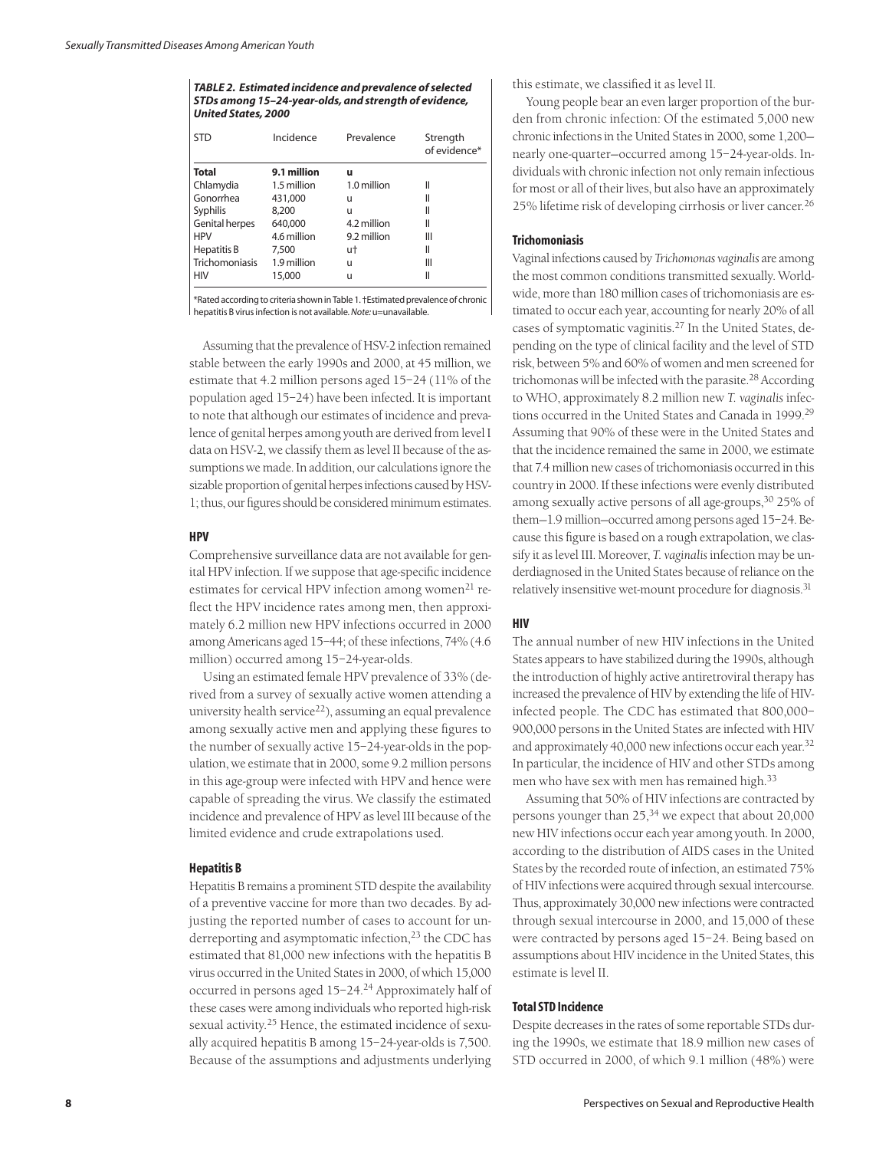*TABLE 2. Estimated incidence and prevalence of selected STDs among 15–24-year-olds, and strength of evidence, United States, 2000*

| Incidence   | Prevalence  | Strength<br>of evidence* |
|-------------|-------------|--------------------------|
| 9.1 million | u           |                          |
| 1.5 million | 1.0 million | Ш                        |
| 431,000     | u           | Ш                        |
| 8,200       | u           | Ш                        |
| 640,000     | 4.2 million | Ш                        |
| 4.6 million | 9.2 million | Ш                        |
| 7,500       | ut          | Ш                        |
| 1.9 million | u           | Ш                        |
| 15,000      | u           | Ш                        |
|             |             |                          |

\*Rated according to criteria shown in Table 1. †Estimated prevalence of chronic hepatitis B virus infection is not available. *Note:* u=unavailable.

Assuming that the prevalence of HSV-2 infection remained stable between the early 1990s and 2000, at 45 million, we estimate that 4.2 million persons aged 15–24 (11% of the population aged 15–24) have been infected. It is important to note that although our estimates of incidence and prevalence of genital herpes among youth are derived from level I data on HSV-2, we classify them as level II because of the assumptions we made. In addition, our calculations ignore the sizable proportion of genital herpes infections caused by HSV-1; thus, our figures should be considered minimum estimates.

### **HPV**

Comprehensive surveillance data are not available for genital HPV infection. If we suppose that age-specific incidence estimates for cervical HPV infection among women<sup>21</sup> reflect the HPV incidence rates among men, then approximately 6.2 million new HPV infections occurred in 2000 among Americans aged 15–44; of these infections, 74% (4.6 million) occurred among 15–24-year-olds.

Using an estimated female HPV prevalence of 33% (derived from a survey of sexually active women attending a university health service<sup>22</sup>), assuming an equal prevalence among sexually active men and applying these figures to the number of sexually active 15–24-year-olds in the population, we estimate that in 2000, some 9.2 million persons in this age-group were infected with HPV and hence were capable of spreading the virus. We classify the estimated incidence and prevalence of HPV as level III because of the limited evidence and crude extrapolations used.

#### **Hepatitis B**

Hepatitis B remains a prominent STD despite the availability of a preventive vaccine for more than two decades. By adjusting the reported number of cases to account for underreporting and asymptomatic infection, $23$  the CDC has estimated that 81,000 new infections with the hepatitis B virus occurred in the United States in 2000, of which 15,000 occurred in persons aged 15–24.24 Approximately half of these cases were among individuals who reported high-risk sexual activity.<sup>25</sup> Hence, the estimated incidence of sexually acquired hepatitis B among 15–24-year-olds is 7,500. Because of the assumptions and adjustments underlying

this estimate, we classified it as level II.

Young people bear an even larger proportion of the burden from chronic infection: Of the estimated 5,000 new chronic infections in the United States in 2000, some 1,200 nearly one-quarter—occurred among 15–24-year-olds. Individuals with chronic infection not only remain infectious for most or all of their lives, but also have an approximately 25% lifetime risk of developing cirrhosis or liver cancer.26

#### **Trichomoniasis**

Vaginal infections caused by *Trichomonas vaginalis* are among the most common conditions transmitted sexually. Worldwide, more than 180 million cases of trichomoniasis are estimated to occur each year, accounting for nearly 20% of all cases of symptomatic vaginitis.27 In the United States, depending on the type of clinical facility and the level of STD risk, between 5% and 60% of women and men screened for trichomonas will be infected with the parasite.<sup>28</sup> According to WHO, approximately 8.2 million new *T. vaginalis* infections occurred in the United States and Canada in 1999.29 Assuming that 90% of these were in the United States and that the incidence remained the same in 2000, we estimate that 7.4 million new cases of trichomoniasis occurred in this country in 2000. If these infections were evenly distributed among sexually active persons of all age-groups,<sup>30</sup> 25% of them—1.9 million—occurred among persons aged 15–24. Because this figure is based on a rough extrapolation, we classify it as level III. Moreover, *T. vaginalis* infection may be underdiagnosed in the United States because of reliance on the relatively insensitive wet-mount procedure for diagnosis.<sup>31</sup>

## **HIV**

The annual number of new HIV infections in the United States appears to have stabilized during the 1990s, although the introduction of highly active antiretroviral therapy has increased the prevalence of HIV by extending the life of HIVinfected people. The CDC has estimated that 800,000– 900,000 persons in the United States are infected with HIV and approximately 40,000 new infections occur each year.32 In particular, the incidence of HIV and other STDs among men who have sex with men has remained high.33

Assuming that 50% of HIV infections are contracted by persons younger than 25,<sup>34</sup> we expect that about 20,000 new HIV infections occur each year among youth. In 2000, according to the distribution of AIDS cases in the United States by the recorded route of infection, an estimated 75% of HIV infections were acquired through sexual intercourse. Thus, approximately 30,000 new infections were contracted through sexual intercourse in 2000, and 15,000 of these were contracted by persons aged 15–24. Being based on assumptions about HIV incidence in the United States, this estimate is level II.

## **Total STD Incidence**

Despite decreases in the rates of some reportable STDs during the 1990s, we estimate that 18.9 million new cases of STD occurred in 2000, of which 9.1 million (48%) were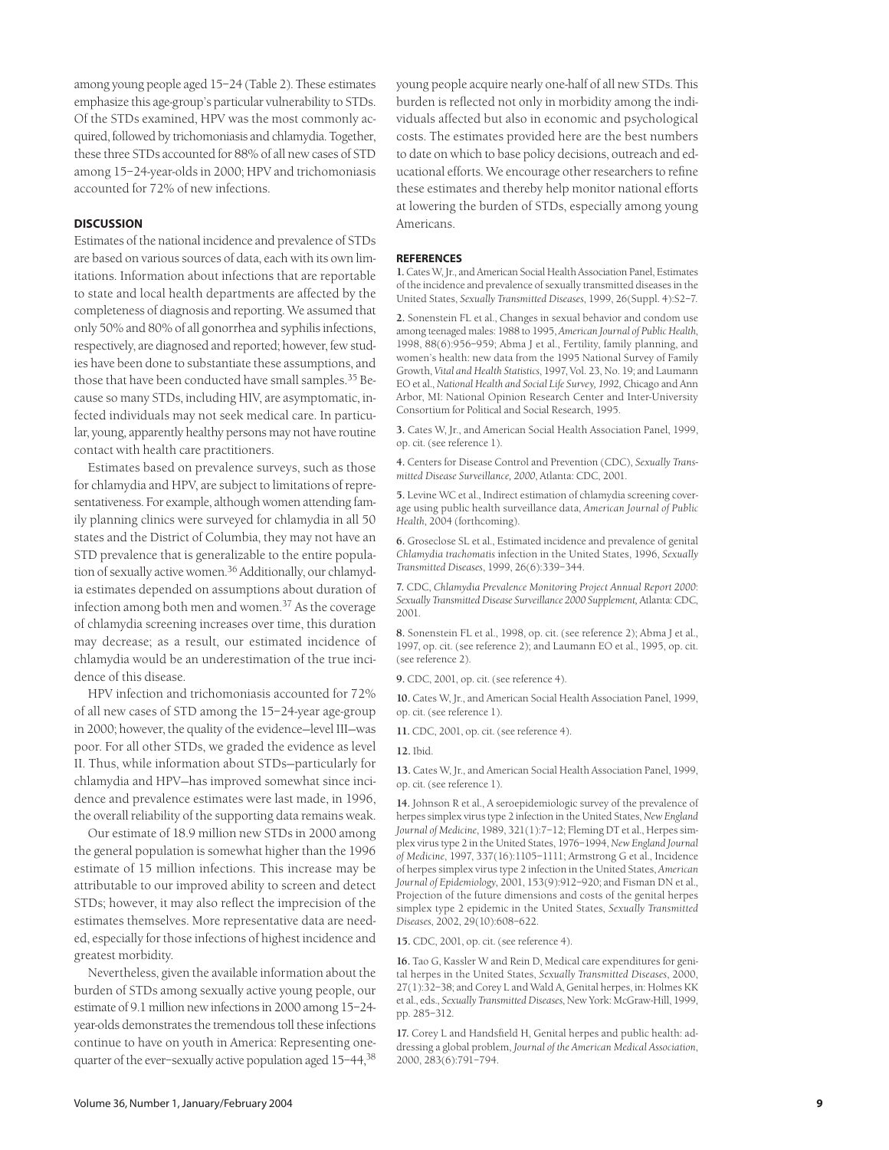among young people aged 15–24 (Table 2). These estimates emphasize this age-group's particular vulnerability to STDs. Of the STDs examined, HPV was the most commonly acquired, followed by trichomoniasis and chlamydia. Together, these three STDs accounted for 88% of all new cases of STD among 15–24-year-olds in 2000; HPV and trichomoniasis accounted for 72% of new infections.

#### **DISCUSSION**

Estimates of the national incidence and prevalence of STDs are based on various sources of data, each with its own limitations. Information about infections that are reportable to state and local health departments are affected by the completeness of diagnosis and reporting. We assumed that only 50% and 80% of all gonorrhea and syphilis infections, respectively, are diagnosed and reported; however, few studies have been done to substantiate these assumptions, and those that have been conducted have small samples.<sup>35</sup> Because so many STDs, including HIV, are asymptomatic, infected individuals may not seek medical care. In particular, young, apparently healthy persons may not have routine contact with health care practitioners.

Estimates based on prevalence surveys, such as those for chlamydia and HPV, are subject to limitations of representativeness. For example, although women attending family planning clinics were surveyed for chlamydia in all 50 states and the District of Columbia, they may not have an STD prevalence that is generalizable to the entire population of sexually active women.<sup>36</sup> Additionally, our chlamydia estimates depended on assumptions about duration of infection among both men and women.37 As the coverage of chlamydia screening increases over time, this duration may decrease; as a result, our estimated incidence of chlamydia would be an underestimation of the true incidence of this disease.

HPV infection and trichomoniasis accounted for 72% of all new cases of STD among the 15–24-year age-group in 2000; however, the quality of the evidence—level III—was poor. For all other STDs, we graded the evidence as level II. Thus, while information about STDs—particularly for chlamydia and HPV—has improved somewhat since incidence and prevalence estimates were last made, in 1996, the overall reliability of the supporting data remains weak.

Our estimate of 18.9 million new STDs in 2000 among the general population is somewhat higher than the 1996 estimate of 15 million infections. This increase may be attributable to our improved ability to screen and detect STDs; however, it may also reflect the imprecision of the estimates themselves. More representative data are needed, especially for those infections of highest incidence and greatest morbidity.

Nevertheless, given the available information about the burden of STDs among sexually active young people, our estimate of 9.1 million new infections in 2000 among 15–24 year-olds demonstrates the tremendous toll these infections continue to have on youth in America: Representing onequarter of the ever–sexually active population aged 15–44,38

young people acquire nearly one-half of all new STDs. This burden is reflected not only in morbidity among the individuals affected but also in economic and psychological costs. The estimates provided here are the best numbers to date on which to base policy decisions, outreach and educational efforts. We encourage other researchers to refine these estimates and thereby help monitor national efforts at lowering the burden of STDs, especially among young Americans.

#### **REFERENCES**

**1.** Cates W, Jr., and American Social Health Association Panel, Estimates of the incidence and prevalence of sexually transmitted diseases in the United States, *Sexually Transmitted Diseases*, 1999, 26(Suppl. 4):S2–7.

**2.** Sonenstein FL et al., Changes in sexual behavior and condom use among teenaged males: 1988 to 1995, *American Journal of Public Health*, 1998, 88(6):956–959; Abma J et al., Fertility, family planning, and women's health: new data from the 1995 National Survey of Family Growth, *Vital and Health Statistics*, 1997, Vol. 23, No. 19; and Laumann EO et al., *National Health and Social Life Survey, 1992,* Chicago and Ann Arbor, MI: National Opinion Research Center and Inter-University Consortium for Political and Social Research, 1995.

**3.** Cates W, Jr., and American Social Health Association Panel, 1999, op. cit. (see reference 1).

**4.** Centers for Disease Control and Prevention (CDC), *Sexually Transmitted Disease Surveillance, 2000*, Atlanta: CDC, 2001.

**5.** Levine WC et al., Indirect estimation of chlamydia screening coverage using public health surveillance data, *American Journal of Public Health*, 2004 (forthcoming).

**6.** Groseclose SL et al., Estimated incidence and prevalence of genital *Chlamydia trachomatis* infection in the United States, 1996, *Sexually Transmitted Diseases*, 1999, 26(6):339–344.

**7.** CDC, *Chlamydia Prevalence Monitoring Project Annual Report 2000*: *Sexually Transmitted Disease Surveillance 2000 Supplement,* Atlanta: CDC, 2001.

**8.** Sonenstein FL et al., 1998, op. cit. (see reference 2); Abma J et al., 1997, op. cit. (see reference 2); and Laumann EO et al., 1995, op. cit. (see reference 2).

**9.** CDC, 2001, op. cit. (see reference 4).

**10.** Cates W, Jr., and American Social Health Association Panel, 1999, op. cit. (see reference 1).

**11.** CDC, 2001, op. cit. (see reference 4).

**12.** Ibid.

**13.** Cates W, Jr., and American Social Health Association Panel, 1999, op. cit. (see reference 1).

**14.** Johnson R et al., A seroepidemiologic survey of the prevalence of herpes simplex virus type 2 infection in the United States, *New England Journal of Medicine*, 1989, 321(1):7–12; Fleming DT et al., Herpes simplex virus type 2 in the United States, 1976–1994, *New England Journal of Medicine*, 1997, 337(16):1105–1111; Armstrong G et al., Incidence of herpes simplex virus type 2 infection in the United States, *American Journal of Epidemiology*, 2001, 153(9):912–920; and Fisman DN et al., Projection of the future dimensions and costs of the genital herpes simplex type 2 epidemic in the United States, *Sexually Transmitted Diseases*, 2002, 29(10):608–622.

**15.** CDC, 2001, op. cit. (see reference 4).

**16.** Tao G, Kassler W and Rein D, Medical care expenditures for genital herpes in the United States, *Sexually Transmitted Diseases*, 2000, 27(1):32–38; and Corey L and Wald A, Genital herpes, in: Holmes KK et al., eds., *Sexually Transmitted Diseases*, New York: McGraw-Hill, 1999, pp. 285–312.

**17.** Corey L and Handsfield H, Genital herpes and public health: addressing a global problem, *Journal of the American Medical Association*, 2000, 283(6):791–794.